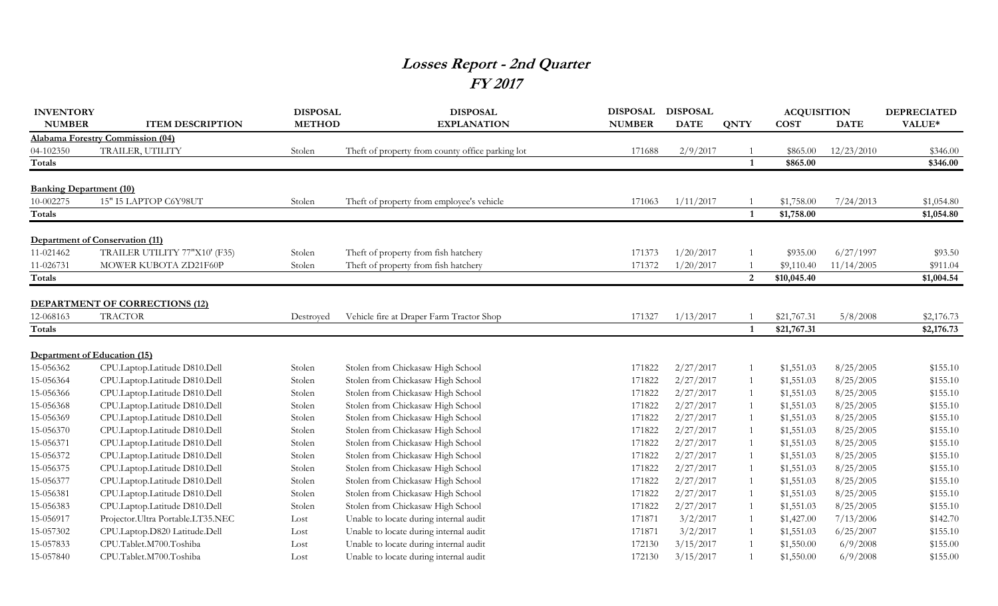## **Losses Report - 2nd Quarter FY 2017**

| <b>INVENTORY</b>               |                                         | <b>DISPOSAL</b> | <b>DISPOSAL</b>                                  | <b>DISPOSAL</b> | <b>DISPOSAL</b> |              | <b>ACQUISITION</b> |             | <b>DEPRECIATED</b> |
|--------------------------------|-----------------------------------------|-----------------|--------------------------------------------------|-----------------|-----------------|--------------|--------------------|-------------|--------------------|
| <b>NUMBER</b>                  | <b>ITEM DESCRIPTION</b>                 | <b>METHOD</b>   | <b>EXPLANATION</b>                               | <b>NUMBER</b>   | <b>DATE</b>     | <b>QNTY</b>  | <b>COST</b>        | <b>DATE</b> | VALUE*             |
|                                | <b>Alabama Forestry Commission (04)</b> |                 |                                                  |                 |                 |              |                    |             |                    |
| 04-102350                      | TRAILER, UTILITY                        | Stolen          | Theft of property from county office parking lot | 171688          | 2/9/2017        |              | \$865.00           | 12/23/2010  | \$346.00           |
| Totals                         |                                         |                 |                                                  |                 |                 | $\mathbf{1}$ | \$865.00           |             | \$346.00           |
|                                |                                         |                 |                                                  |                 |                 |              |                    |             |                    |
| <b>Banking Department (10)</b> |                                         |                 |                                                  |                 |                 |              |                    |             |                    |
| 10-002275                      | 15" I5 LAPTOP C6Y98UT                   | Stolen          | Theft of property from employee's vehicle        | 171063          | 1/11/2017       |              | \$1,758.00         | 7/24/2013   | \$1,054.80         |
| Totals                         |                                         |                 |                                                  |                 |                 | $\mathbf{1}$ | \$1,758.00         |             | \$1,054.80         |
|                                | Department of Conservation (11)         |                 |                                                  |                 |                 |              |                    |             |                    |
| 11-021462                      | TRAILER UTILITY 77"X10' (F35)           | Stolen          | Theft of property from fish hatchery             | 171373          | 1/20/2017       |              | \$935.00           | 6/27/1997   | \$93.50            |
| 11-026731                      | MOWER KUBOTA ZD21F60P                   | Stolen          | Theft of property from fish hatchery             | 171372          | 1/20/2017       |              | \$9,110.40         | 11/14/2005  | \$911.04           |
| Totals                         |                                         |                 |                                                  |                 |                 | 2            | \$10,045.40        |             | \$1,004.54         |
|                                |                                         |                 |                                                  |                 |                 |              |                    |             |                    |
|                                | <b>DEPARTMENT OF CORRECTIONS (12)</b>   |                 |                                                  |                 |                 |              |                    |             |                    |
| 12-068163                      | <b>TRACTOR</b>                          | Destroyed       | Vehicle fire at Draper Farm Tractor Shop         | 171327          | 1/13/2017       |              | \$21,767.31        | 5/8/2008    | \$2,176.73         |
| Totals                         |                                         |                 |                                                  |                 |                 | $\mathbf{1}$ | \$21,767.31        |             | \$2,176.73         |
|                                |                                         |                 |                                                  |                 |                 |              |                    |             |                    |
| Department of Education (15)   |                                         |                 |                                                  |                 |                 |              |                    |             |                    |
| 15-056362                      | CPU.Laptop.Latitude D810.Dell           | Stolen          | Stolen from Chickasaw High School                | 171822          | 2/27/2017       |              | \$1,551.03         | 8/25/2005   | \$155.10           |
| 15-056364                      | CPU.Laptop.Latitude D810.Dell           | Stolen          | Stolen from Chickasaw High School                | 171822          | 2/27/2017       |              | \$1,551.03         | 8/25/2005   | \$155.10           |
| 15-056366                      | CPU.Laptop.Latitude D810.Dell           | Stolen          | Stolen from Chickasaw High School                | 171822          | 2/27/2017       | -1           | \$1,551.03         | 8/25/2005   | \$155.10           |
| 15-056368                      | CPU.Laptop.Latitude D810.Dell           | Stolen          | Stolen from Chickasaw High School                | 171822          | 2/27/2017       |              | \$1,551.03         | 8/25/2005   | \$155.10           |
| 15-056369                      | CPU.Laptop.Latitude D810.Dell           | Stolen          | Stolen from Chickasaw High School                | 171822          | 2/27/2017       |              | \$1,551.03         | 8/25/2005   | \$155.10           |
| 15-056370                      | CPU.Laptop.Latitude D810.Dell           | Stolen          | Stolen from Chickasaw High School                | 171822          | 2/27/2017       |              | \$1,551.03         | 8/25/2005   | \$155.10           |
| 15-056371                      | CPU.Laptop.Latitude D810.Dell           | Stolen          | Stolen from Chickasaw High School                | 171822          | 2/27/2017       |              | \$1,551.03         | 8/25/2005   | \$155.10           |
| 15-056372                      | CPU.Laptop.Latitude D810.Dell           | Stolen          | Stolen from Chickasaw High School                | 171822          | 2/27/2017       |              | \$1,551.03         | 8/25/2005   | \$155.10           |
| 15-056375                      | CPU.Laptop.Latitude D810.Dell           | Stolen          | Stolen from Chickasaw High School                | 171822          | 2/27/2017       | -1           | \$1,551.03         | 8/25/2005   | \$155.10           |
| 15-056377                      | CPU.Laptop.Latitude D810.Dell           | Stolen          | Stolen from Chickasaw High School                | 171822          | 2/27/2017       | -1           | \$1,551.03         | 8/25/2005   | \$155.10           |
| 15-056381                      | CPU.Laptop.Latitude D810.Dell           | Stolen          | Stolen from Chickasaw High School                | 171822          | 2/27/2017       | -1           | \$1,551.03         | 8/25/2005   | \$155.10           |
| 15-056383                      | CPU.Laptop.Latitude D810.Dell           | Stolen          | Stolen from Chickasaw High School                | 171822          | 2/27/2017       | -1           | \$1,551.03         | 8/25/2005   | \$155.10           |
| 15-056917                      | Projector. Ultra Portable.LT35.NEC      | Lost            | Unable to locate during internal audit           | 171871          | 3/2/2017        |              | \$1,427.00         | 7/13/2006   | \$142.70           |
| 15-057302                      | CPU.Laptop.D820 Latitude.Dell           | Lost            | Unable to locate during internal audit           | 171871          | 3/2/2017        |              | \$1,551.03         | 6/25/2007   | \$155.10           |
| 15-057833                      | CPU.Tablet.M700.Toshiba                 | Lost            | Unable to locate during internal audit           | 172130          | 3/15/2017       |              | \$1,550.00         | 6/9/2008    | \$155.00           |
| 15-057840                      | CPU.Tablet.M700.Toshiba                 | Lost            | Unable to locate during internal audit           | 172130          | 3/15/2017       |              | \$1,550.00         | 6/9/2008    | \$155.00           |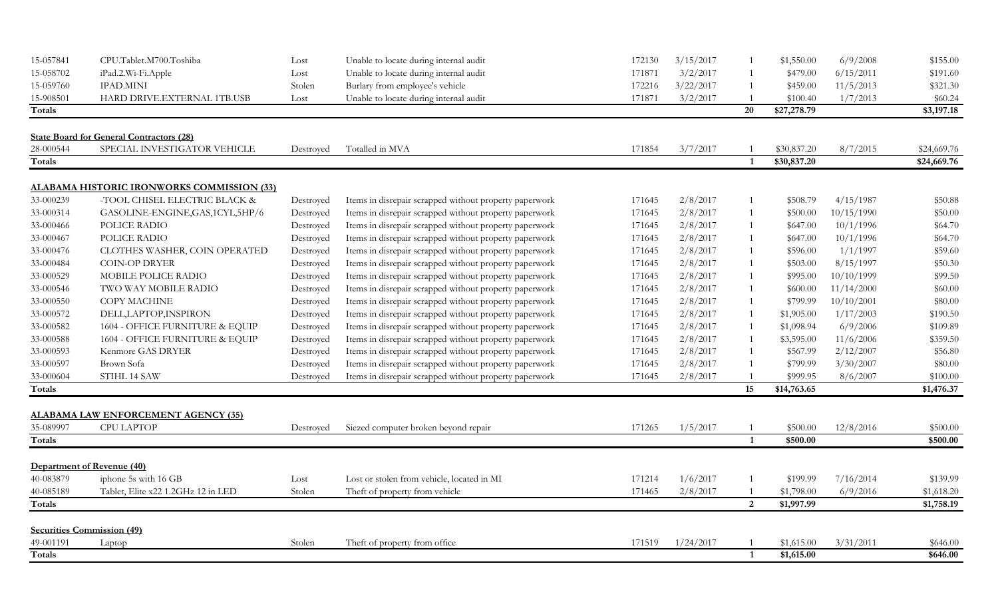| 15-057841 | CPU.Tablet.M700.Toshiba                           | Lost      | Unable to locate during internal audit                 | 172130 | 3/15/2017 |                         | \$1,550.00  | 6/9/2008   | \$155.00    |
|-----------|---------------------------------------------------|-----------|--------------------------------------------------------|--------|-----------|-------------------------|-------------|------------|-------------|
| 15-058702 | iPad.2.Wi-Fi.Apple                                | Lost      | Unable to locate during internal audit                 | 171871 | 3/2/2017  | $\overline{1}$          | \$479.00    | 6/15/2011  | \$191.60    |
| 15-059760 | <b>IPAD.MINI</b>                                  | Stolen    | Burlary from employee's vehicle                        | 172216 | 3/22/2017 |                         | \$459.00    | 11/5/2013  | \$321.30    |
| 15-908501 | HARD DRIVE.EXTERNAL 1TB.USB                       | Lost      | Unable to locate during internal audit                 | 171871 | 3/2/2017  |                         | \$100.40    | 1/7/2013   | \$60.24     |
| Totals    |                                                   |           |                                                        |        |           | 20                      | \$27,278.79 |            | \$3,197.18  |
|           | <b>State Board for General Contractors (28)</b>   |           |                                                        |        |           |                         |             |            |             |
| 28-000544 | SPECIAL INVESTIGATOR VEHICLE                      | Destroyed | Totalled in MVA                                        | 171854 | 3/7/2017  |                         | \$30,837.20 | 8/7/2015   | \$24,669.76 |
| Totals    |                                                   |           |                                                        |        |           | $\overline{\mathbf{1}}$ | \$30,837.20 |            | \$24,669.76 |
|           | <u>ALABAMA HISTORIC IRONWORKS COMMISSION (33)</u> |           |                                                        |        |           |                         |             |            |             |
| 33-000239 | -TOOL CHISEL ELECTRIC BLACK &                     | Destroyed | Items in disrepair scrapped without property paperwork | 171645 | 2/8/2017  | -1                      | \$508.79    | 4/15/1987  | \$50.88     |
| 33-000314 | GASOLINE-ENGINE, GAS, 1CYL, 5HP/6                 | Destroyed | Items in disrepair scrapped without property paperwork | 171645 | 2/8/2017  | $\overline{1}$          | \$500.00    | 10/15/1990 | \$50.00     |
| 33-000466 | POLICE RADIO                                      | Destroyed | Items in disrepair scrapped without property paperwork | 171645 | 2/8/2017  | $\overline{1}$          | \$647.00    | 10/1/1996  | \$64.70     |
| 33-000467 | POLICE RADIO                                      | Destroyed | Items in disrepair scrapped without property paperwork | 171645 | 2/8/2017  | $\overline{1}$          | \$647.00    | 10/1/1996  | \$64.70     |
| 33-000476 | CLOTHES WASHER, COIN OPERATED                     | Destroyed | Items in disrepair scrapped without property paperwork | 171645 | 2/8/2017  | -1                      | \$596.00    | 1/1/1997   | \$59.60     |
| 33-000484 | <b>COIN-OP DRYER</b>                              | Destroyed | Items in disrepair scrapped without property paperwork | 171645 | 2/8/2017  | $\mathbf{1}$            | \$503.00    | 8/15/1997  | \$50.30     |
| 33-000529 | MOBILE POLICE RADIO                               | Destroyed | Items in disrepair scrapped without property paperwork | 171645 | 2/8/2017  | $\mathbf{1}$            | \$995.00    | 10/10/1999 | \$99.50     |
| 33-000546 | TWO WAY MOBILE RADIO                              | Destroyed | Items in disrepair scrapped without property paperwork | 171645 | 2/8/2017  | $\overline{1}$          | \$600.00    | 11/14/2000 | \$60.00     |
| 33-000550 | COPY MACHINE                                      | Destroyed | Items in disrepair scrapped without property paperwork | 171645 | 2/8/2017  | $\overline{1}$          | \$799.99    | 10/10/2001 | \$80.00     |
| 33-000572 | DELL, LAPTOP, INSPIRON                            | Destroyed | Items in disrepair scrapped without property paperwork | 171645 | 2/8/2017  | $\overline{1}$          | \$1,905.00  | 1/17/2003  | \$190.50    |
| 33-000582 | 1604 - OFFICE FURNITURE & EQUIP                   | Destroyed | Items in disrepair scrapped without property paperwork | 171645 | 2/8/2017  |                         | \$1,098.94  | 6/9/2006   | \$109.89    |
| 33-000588 | 1604 - OFFICE FURNITURE & EQUIP                   | Destroyed | Items in disrepair scrapped without property paperwork | 171645 | 2/8/2017  |                         | \$3,595.00  | 11/6/2006  | \$359.50    |
| 33-000593 | Kenmore GAS DRYER                                 | Destroyed | Items in disrepair scrapped without property paperwork | 171645 | 2/8/2017  |                         | \$567.99    | 2/12/2007  | \$56.80     |
| 33-000597 | Brown Sofa                                        | Destroyed | Items in disrepair scrapped without property paperwork | 171645 | 2/8/2017  |                         | \$799.99    | 3/30/2007  | \$80.00     |
| 33-000604 | STIHL 14 SAW                                      | Destroyed | Items in disrepair scrapped without property paperwork | 171645 | 2/8/2017  |                         | \$999.95    | 8/6/2007   | \$100.00    |
| Totals    |                                                   |           |                                                        |        |           | 15                      | \$14,763.65 |            | \$1,476.37  |
|           | <b>ALABAMA LAW ENFORCEMENT AGENCY (35)</b>        |           |                                                        |        |           |                         |             |            |             |
| 35-089997 | CPU LAPTOP                                        | Destroyed | Siezed computer broken beyond repair                   | 171265 | 1/5/2017  |                         | \$500.00    | 12/8/2016  | \$500.00    |
| Totals    |                                                   |           |                                                        |        |           | $\overline{1}$          | \$500.00    |            | \$500.00    |
|           | Department of Revenue (40)                        |           |                                                        |        |           |                         |             |            |             |
| 40-083879 | iphone 5s with 16 GB                              | Lost      | Lost or stolen from vehicle, located in MI             | 171214 | 1/6/2017  |                         | \$199.99    | 7/16/2014  | \$139.99    |
| 40-085189 | Tablet, Elite x22 1.2GHz 12 in LED                | Stolen    | Theft of property from vehicle                         | 171465 | 2/8/2017  |                         | \$1,798.00  | 6/9/2016   | \$1,618.20  |
| Totals    |                                                   |           |                                                        |        |           | 2                       | \$1,997.99  |            | \$1,758.19  |
|           |                                                   |           |                                                        |        |           |                         |             |            |             |
|           | <b>Securities Commission (49)</b>                 |           |                                                        |        |           |                         |             |            |             |
| 49-001191 | Laptop                                            | Stolen    | Theft of property from office                          | 171519 | 1/24/2017 |                         | \$1,615.00  | 3/31/2011  | \$646.00    |
| Totals    |                                                   |           |                                                        |        |           | $\mathbf{1}$            | \$1,615.00  |            | \$646.00    |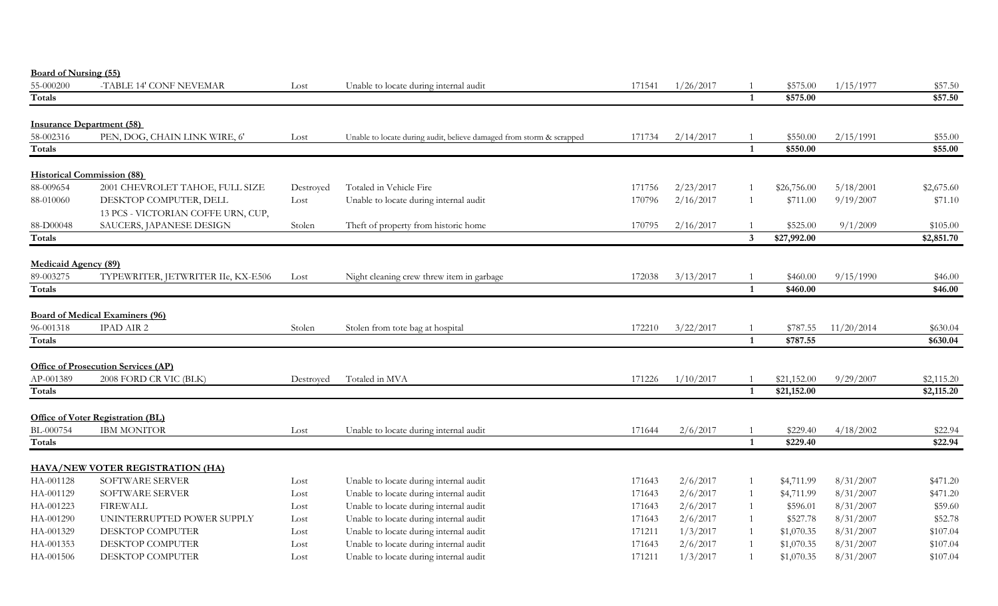| <b>Board of Nursing (55)</b> |                                            |           |                                                                      |        |           |                         |                      |            |                    |
|------------------------------|--------------------------------------------|-----------|----------------------------------------------------------------------|--------|-----------|-------------------------|----------------------|------------|--------------------|
| 55-000200                    | -TABLE 14' CONF NEVEMAR                    | Lost      | Unable to locate during internal audit                               | 171541 | 1/26/2017 |                         | \$575.00             | 1/15/1977  | \$57.50            |
| Totals                       |                                            |           |                                                                      |        |           | $\mathbf{1}$            | \$575.00             |            | \$57.50            |
|                              |                                            |           |                                                                      |        |           |                         |                      |            |                    |
| 58-002316                    | <b>Insurance Department (58)</b>           |           |                                                                      |        | 2/14/2017 |                         |                      |            |                    |
| Totals                       | PEN, DOG, CHAIN LINK WIRE, 6'              | Lost      | Unable to locate during audit, believe damaged from storm & scrapped | 171734 |           | $\mathbf{1}$            | \$550.00<br>\$550.00 | 2/15/1991  | \$55.00<br>\$55.00 |
|                              |                                            |           |                                                                      |        |           |                         |                      |            |                    |
|                              | <b>Historical Commission (88)</b>          |           |                                                                      |        |           |                         |                      |            |                    |
| 88-009654                    | 2001 CHEVROLET TAHOE, FULL SIZE            | Destroyed | Totaled in Vehicle Fire                                              | 171756 | 2/23/2017 |                         | \$26,756.00          | 5/18/2001  | \$2,675.60         |
| 88-010060                    | DESKTOP COMPUTER, DELL                     | Lost      | Unable to locate during internal audit                               | 170796 | 2/16/2017 |                         | \$711.00             | 9/19/2007  | \$71.10            |
|                              | 13 PCS - VICTORIAN COFFE URN, CUP,         |           |                                                                      |        |           |                         |                      |            |                    |
| 88-D00048                    | SAUCERS, JAPANESE DESIGN                   | Stolen    | Theft of property from historic home                                 | 170795 | 2/16/2017 |                         | \$525.00             | 9/1/2009   | \$105.00           |
| Totals                       |                                            |           |                                                                      |        |           | $\overline{3}$          | \$27,992.00          |            | \$2,851.70         |
|                              |                                            |           |                                                                      |        |           |                         |                      |            |                    |
| <b>Medicaid Agency (89)</b>  |                                            |           |                                                                      |        |           |                         |                      |            |                    |
| 89-003275                    | TYPEWRITER, JETWRITER IIe, KX-E506         | Lost      | Night cleaning crew threw item in garbage                            | 172038 | 3/13/2017 |                         | \$460.00             | 9/15/1990  | \$46.00            |
| Totals                       |                                            |           |                                                                      |        |           | $\mathbf{1}$            | \$460.00             |            | \$46.00            |
|                              | <b>Board of Medical Examiners (96)</b>     |           |                                                                      |        |           |                         |                      |            |                    |
| 96-001318                    | <b>IPAD AIR 2</b>                          | Stolen    | Stolen from tote bag at hospital                                     | 172210 | 3/22/2017 |                         | \$787.55             | 11/20/2014 | \$630.04           |
| Totals                       |                                            |           |                                                                      |        |           | $\overline{\mathbf{1}}$ | \$787.55             |            | \$630.04           |
|                              |                                            |           |                                                                      |        |           |                         |                      |            |                    |
|                              | <b>Office of Prosecution Services (AP)</b> |           |                                                                      |        |           |                         |                      |            |                    |
| AP-001389                    | 2008 FORD CR VIC (BLK)                     | Destroyed | Totaled in MVA                                                       | 171226 | 1/10/2017 |                         | \$21,152.00          | 9/29/2007  | \$2,115.20         |
| Totals                       |                                            |           |                                                                      |        |           | $\overline{1}$          | \$21,152.00          |            | \$2,115.20         |
|                              |                                            |           |                                                                      |        |           |                         |                      |            |                    |
|                              | <b>Office of Voter Registration (BL)</b>   |           |                                                                      |        |           |                         |                      |            |                    |
| BL-000754                    | <b>IBM MONITOR</b>                         | Lost      | Unable to locate during internal audit                               | 171644 | 2/6/2017  | $\overline{1}$          | \$229.40<br>\$229.40 | 4/18/2002  | \$22.94            |
| <b>Totals</b>                |                                            |           |                                                                      |        |           |                         |                      |            | \$22.94            |
|                              | <b>HAVA/NEW VOTER REGISTRATION (HA)</b>    |           |                                                                      |        |           |                         |                      |            |                    |
| HA-001128                    | SOFTWARE SERVER                            | Lost      | Unable to locate during internal audit                               | 171643 | 2/6/2017  |                         | \$4,711.99           | 8/31/2007  | \$471.20           |
| HA-001129                    | SOFTWARE SERVER                            | Lost      | Unable to locate during internal audit                               | 171643 | 2/6/2017  |                         | \$4,711.99           | 8/31/2007  | \$471.20           |
| HA-001223                    | <b>FIREWALL</b>                            | Lost      | Unable to locate during internal audit                               | 171643 | 2/6/2017  |                         | \$596.01             | 8/31/2007  | \$59.60            |
| HA-001290                    | UNINTERRUPTED POWER SUPPLY                 | Lost      | Unable to locate during internal audit                               | 171643 | 2/6/2017  |                         | \$527.78             | 8/31/2007  | \$52.78            |
| HA-001329                    | DESKTOP COMPUTER                           | Lost      | Unable to locate during internal audit                               | 171211 | 1/3/2017  |                         | \$1,070.35           | 8/31/2007  | \$107.04           |
| HA-001353                    | <b>DESKTOP COMPUTER</b>                    | Lost      | Unable to locate during internal audit                               | 171643 | 2/6/2017  |                         | \$1,070.35           | 8/31/2007  | \$107.04           |
| HA-001506                    | <b>DESKTOP COMPUTER</b>                    | Lost      | Unable to locate during internal audit                               | 171211 | 1/3/2017  |                         | \$1,070.35           | 8/31/2007  | \$107.04           |
|                              |                                            |           |                                                                      |        |           |                         |                      |            |                    |